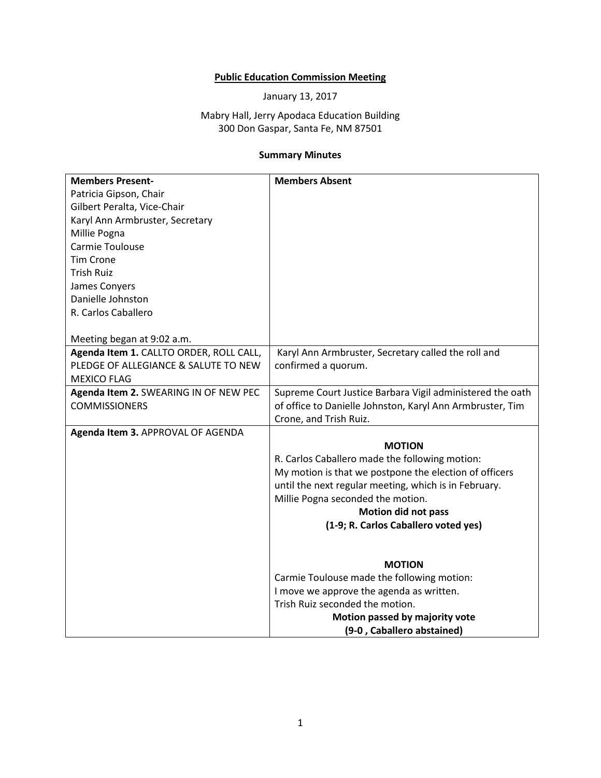## **Public Education Commission Meeting**

January 13, 2017

## Mabry Hall, Jerry Apodaca Education Building 300 Don Gaspar, Santa Fe, NM 87501

## **Summary Minutes**

| <b>Members Present-</b>                 | <b>Members Absent</b>                                     |
|-----------------------------------------|-----------------------------------------------------------|
| Patricia Gipson, Chair                  |                                                           |
| Gilbert Peralta, Vice-Chair             |                                                           |
| Karyl Ann Armbruster, Secretary         |                                                           |
| Millie Pogna                            |                                                           |
| Carmie Toulouse                         |                                                           |
| <b>Tim Crone</b>                        |                                                           |
| <b>Trish Ruiz</b>                       |                                                           |
| James Conyers                           |                                                           |
| Danielle Johnston                       |                                                           |
| R. Carlos Caballero                     |                                                           |
|                                         |                                                           |
| Meeting began at 9:02 a.m.              |                                                           |
| Agenda Item 1. CALLTO ORDER, ROLL CALL, | Karyl Ann Armbruster, Secretary called the roll and       |
| PLEDGE OF ALLEGIANCE & SALUTE TO NEW    | confirmed a quorum.                                       |
| <b>MEXICO FLAG</b>                      |                                                           |
| Agenda Item 2. SWEARING IN OF NEW PEC   | Supreme Court Justice Barbara Vigil administered the oath |
| <b>COMMISSIONERS</b>                    | of office to Danielle Johnston, Karyl Ann Armbruster, Tim |
|                                         | Crone, and Trish Ruiz.                                    |
| Agenda Item 3. APPROVAL OF AGENDA       |                                                           |
|                                         | <b>MOTION</b>                                             |
|                                         | R. Carlos Caballero made the following motion:            |
|                                         | My motion is that we postpone the election of officers    |
|                                         | until the next regular meeting, which is in February.     |
|                                         | Millie Pogna seconded the motion.                         |
|                                         | <b>Motion did not pass</b>                                |
|                                         | (1-9; R. Carlos Caballero voted yes)                      |
|                                         |                                                           |
|                                         |                                                           |
|                                         | <b>MOTION</b>                                             |
|                                         | Carmie Toulouse made the following motion:                |
|                                         | I move we approve the agenda as written.                  |
|                                         | Trish Ruiz seconded the motion.                           |
|                                         | Motion passed by majority vote                            |
|                                         | (9-0, Caballero abstained)                                |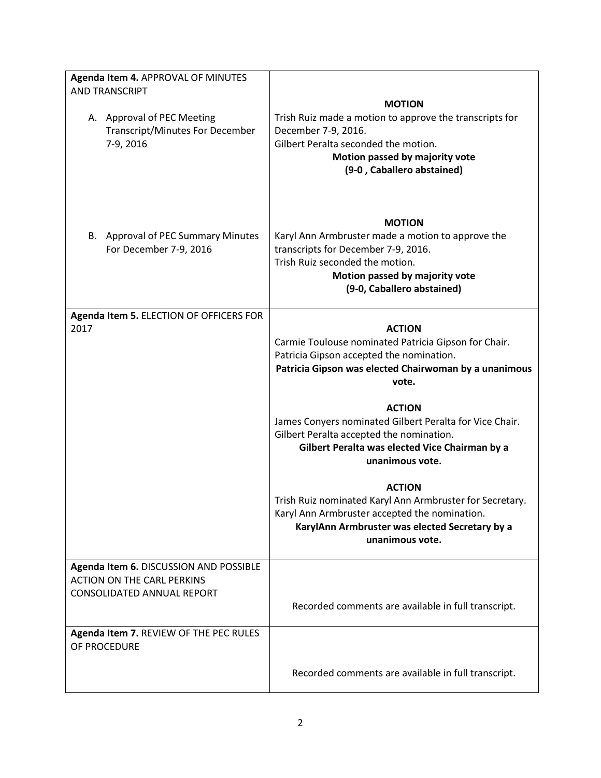| Agenda Item 4. APPROVAL OF MINUTES<br>AND TRANSCRIPT                                                             |                                                                                                                                                                                                              |
|------------------------------------------------------------------------------------------------------------------|--------------------------------------------------------------------------------------------------------------------------------------------------------------------------------------------------------------|
| A. Approval of PEC Meeting<br><b>Transcript/Minutes For December</b><br>7-9, 2016                                | <b>MOTION</b><br>Trish Ruiz made a motion to approve the transcripts for<br>December 7-9, 2016.<br>Gilbert Peralta seconded the motion.<br>Motion passed by majority vote<br>(9-0, Caballero abstained)      |
| B. Approval of PEC Summary Minutes<br>For December 7-9, 2016                                                     | <b>MOTION</b><br>Karyl Ann Armbruster made a motion to approve the<br>transcripts for December 7-9, 2016.<br>Trish Ruiz seconded the motion.<br>Motion passed by majority vote<br>(9-0, Caballero abstained) |
| Agenda Item 5. ELECTION OF OFFICERS FOR<br>2017                                                                  | <b>ACTION</b><br>Carmie Toulouse nominated Patricia Gipson for Chair.<br>Patricia Gipson accepted the nomination.<br>Patricia Gipson was elected Chairwoman by a unanimous<br>vote.                          |
|                                                                                                                  | <b>ACTION</b><br>James Conyers nominated Gilbert Peralta for Vice Chair.<br>Gilbert Peralta accepted the nomination.<br>Gilbert Peralta was elected Vice Chairman by a<br>unanimous vote.                    |
|                                                                                                                  | <b>ACTION</b><br>Trish Ruiz nominated Karyl Ann Armbruster for Secretary.<br>Karyl Ann Armbruster accepted the nomination.<br>KarylAnn Armbruster was elected Secretary by a<br>unanimous vote.              |
| Agenda Item 6. DISCUSSION AND POSSIBLE<br><b>ACTION ON THE CARL PERKINS</b><br><b>CONSOLIDATED ANNUAL REPORT</b> | Recorded comments are available in full transcript.                                                                                                                                                          |
| Agenda Item 7. REVIEW OF THE PEC RULES<br>OF PROCEDURE                                                           |                                                                                                                                                                                                              |
|                                                                                                                  | Recorded comments are available in full transcript.                                                                                                                                                          |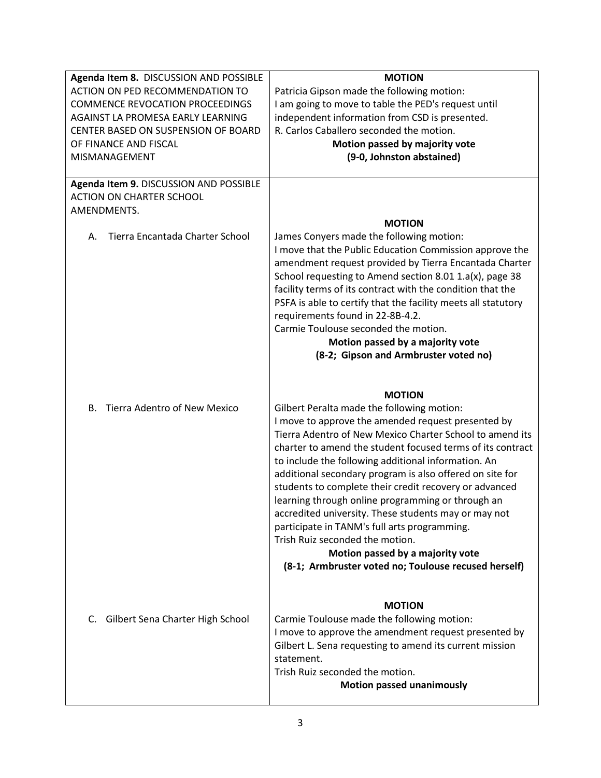| Agenda Item 8. DISCUSSION AND POSSIBLE                                    | <b>MOTION</b>                                                                                                                                                                                                                                                                                                                                                                                                                                                                                                                         |
|---------------------------------------------------------------------------|---------------------------------------------------------------------------------------------------------------------------------------------------------------------------------------------------------------------------------------------------------------------------------------------------------------------------------------------------------------------------------------------------------------------------------------------------------------------------------------------------------------------------------------|
| ACTION ON PED RECOMMENDATION TO                                           | Patricia Gipson made the following motion:                                                                                                                                                                                                                                                                                                                                                                                                                                                                                            |
| <b>COMMENCE REVOCATION PROCEEDINGS</b>                                    | I am going to move to table the PED's request until                                                                                                                                                                                                                                                                                                                                                                                                                                                                                   |
| AGAINST LA PROMESA EARLY LEARNING                                         | independent information from CSD is presented.                                                                                                                                                                                                                                                                                                                                                                                                                                                                                        |
| CENTER BASED ON SUSPENSION OF BOARD                                       | R. Carlos Caballero seconded the motion.                                                                                                                                                                                                                                                                                                                                                                                                                                                                                              |
| OF FINANCE AND FISCAL                                                     | Motion passed by majority vote                                                                                                                                                                                                                                                                                                                                                                                                                                                                                                        |
| MISMANAGEMENT                                                             | (9-0, Johnston abstained)                                                                                                                                                                                                                                                                                                                                                                                                                                                                                                             |
|                                                                           |                                                                                                                                                                                                                                                                                                                                                                                                                                                                                                                                       |
| Agenda Item 9. DISCUSSION AND POSSIBLE<br><b>ACTION ON CHARTER SCHOOL</b> |                                                                                                                                                                                                                                                                                                                                                                                                                                                                                                                                       |
| AMENDMENTS.                                                               |                                                                                                                                                                                                                                                                                                                                                                                                                                                                                                                                       |
|                                                                           | <b>MOTION</b>                                                                                                                                                                                                                                                                                                                                                                                                                                                                                                                         |
| Tierra Encantada Charter School<br>А.                                     | James Conyers made the following motion:<br>I move that the Public Education Commission approve the<br>amendment request provided by Tierra Encantada Charter<br>School requesting to Amend section 8.01 1.a(x), page 38<br>facility terms of its contract with the condition that the<br>PSFA is able to certify that the facility meets all statutory<br>requirements found in 22-8B-4.2.<br>Carmie Toulouse seconded the motion.<br>Motion passed by a majority vote<br>(8-2; Gipson and Armbruster voted no)                      |
| Tierra Adentro of New Mexico<br>В.                                        | <b>MOTION</b><br>Gilbert Peralta made the following motion:<br>I move to approve the amended request presented by<br>Tierra Adentro of New Mexico Charter School to amend its<br>charter to amend the student focused terms of its contract<br>to include the following additional information. An<br>additional secondary program is also offered on site for<br>students to complete their credit recovery or advanced<br>learning through online programming or through an<br>accredited university. These students may or may not |
|                                                                           | participate in TANM's full arts programming.<br>Trish Ruiz seconded the motion.<br>Motion passed by a majority vote<br>(8-1; Armbruster voted no; Toulouse recused herself)                                                                                                                                                                                                                                                                                                                                                           |
| Gilbert Sena Charter High School<br>C.                                    | <b>MOTION</b><br>Carmie Toulouse made the following motion:<br>I move to approve the amendment request presented by<br>Gilbert L. Sena requesting to amend its current mission<br>statement.<br>Trish Ruiz seconded the motion.<br><b>Motion passed unanimously</b>                                                                                                                                                                                                                                                                   |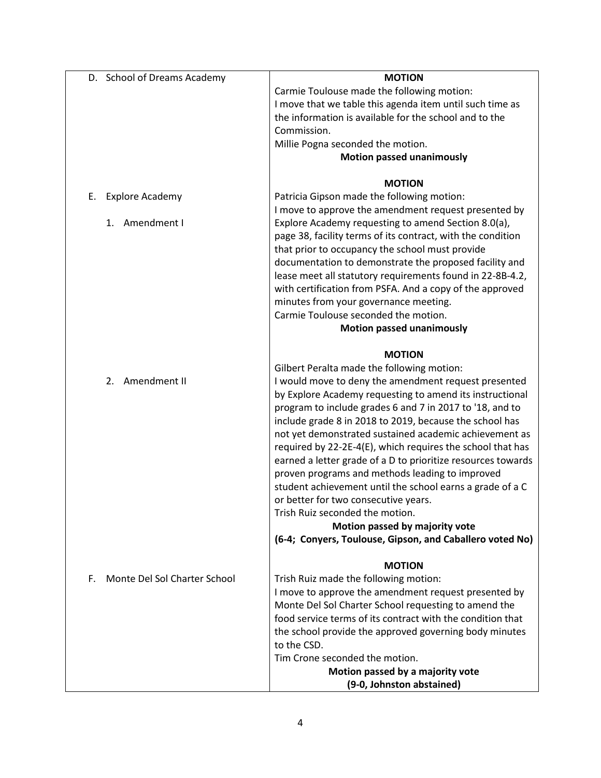| D. School of Dreams Academy        | <b>MOTION</b>                                                |
|------------------------------------|--------------------------------------------------------------|
|                                    | Carmie Toulouse made the following motion:                   |
|                                    | I move that we table this agenda item until such time as     |
|                                    | the information is available for the school and to the       |
|                                    | Commission.                                                  |
|                                    | Millie Pogna seconded the motion.                            |
|                                    | <b>Motion passed unanimously</b>                             |
|                                    |                                                              |
|                                    | <b>MOTION</b>                                                |
| <b>Explore Academy</b><br>Е.       | Patricia Gipson made the following motion:                   |
|                                    | I move to approve the amendment request presented by         |
| Amendment I<br>1.                  | Explore Academy requesting to amend Section 8.0(a),          |
|                                    | page 38, facility terms of its contract, with the condition  |
|                                    | that prior to occupancy the school must provide              |
|                                    | documentation to demonstrate the proposed facility and       |
|                                    | lease meet all statutory requirements found in 22-8B-4.2,    |
|                                    | with certification from PSFA. And a copy of the approved     |
|                                    | minutes from your governance meeting.                        |
|                                    | Carmie Toulouse seconded the motion.                         |
|                                    | <b>Motion passed unanimously</b>                             |
|                                    |                                                              |
|                                    | <b>MOTION</b>                                                |
|                                    | Gilbert Peralta made the following motion:                   |
| Amendment II<br>2.                 | I would move to deny the amendment request presented         |
|                                    | by Explore Academy requesting to amend its instructional     |
|                                    | program to include grades 6 and 7 in 2017 to '18, and to     |
|                                    | include grade 8 in 2018 to 2019, because the school has      |
|                                    | not yet demonstrated sustained academic achievement as       |
|                                    | required by 22-2E-4(E), which requires the school that has   |
|                                    | earned a letter grade of a D to prioritize resources towards |
|                                    | proven programs and methods leading to improved              |
|                                    | student achievement until the school earns a grade of a C    |
|                                    | or better for two consecutive years.                         |
|                                    | Trish Ruiz seconded the motion.                              |
|                                    | Motion passed by majority vote                               |
|                                    | (6-4; Conyers, Toulouse, Gipson, and Caballero voted No)     |
|                                    |                                                              |
|                                    | <b>MOTION</b>                                                |
| Monte Del Sol Charter School<br>F. | Trish Ruiz made the following motion:                        |
|                                    | I move to approve the amendment request presented by         |
|                                    | Monte Del Sol Charter School requesting to amend the         |
|                                    | food service terms of its contract with the condition that   |
|                                    | the school provide the approved governing body minutes       |
|                                    | to the CSD.                                                  |
|                                    | Tim Crone seconded the motion.                               |
|                                    | Motion passed by a majority vote                             |
|                                    | (9-0, Johnston abstained)                                    |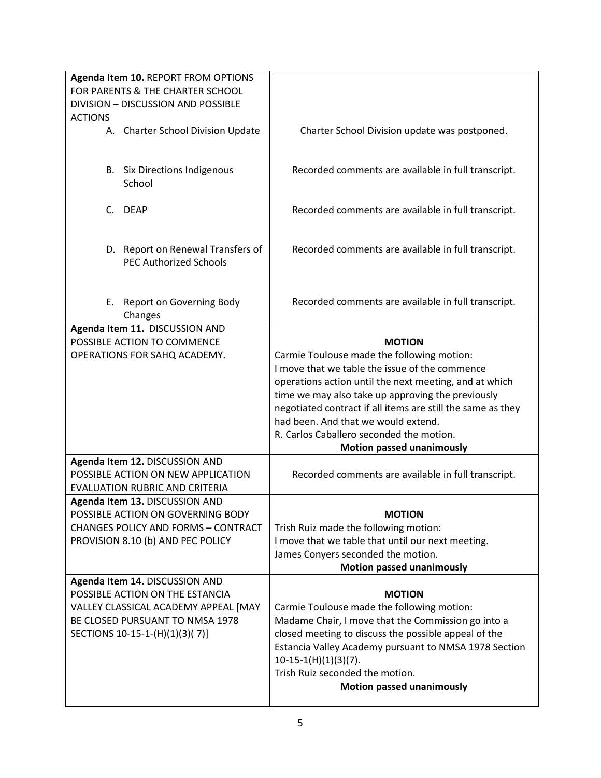|                | Agenda Item 10. REPORT FROM OPTIONS<br>FOR PARENTS & THE CHARTER SCHOOL<br>DIVISION - DISCUSSION AND POSSIBLE |                                                                                                    |
|----------------|---------------------------------------------------------------------------------------------------------------|----------------------------------------------------------------------------------------------------|
| <b>ACTIONS</b> |                                                                                                               |                                                                                                    |
|                | A. Charter School Division Update                                                                             | Charter School Division update was postponed.                                                      |
|                | <b>B.</b> Six Directions Indigenous<br>School                                                                 | Recorded comments are available in full transcript.                                                |
|                | C. DEAP                                                                                                       | Recorded comments are available in full transcript.                                                |
|                | D. Report on Renewal Transfers of<br><b>PEC Authorized Schools</b>                                            | Recorded comments are available in full transcript.                                                |
| Е.             | Report on Governing Body<br>Changes                                                                           | Recorded comments are available in full transcript.                                                |
|                | Agenda Item 11. DISCUSSION AND                                                                                |                                                                                                    |
|                | POSSIBLE ACTION TO COMMENCE                                                                                   | <b>MOTION</b>                                                                                      |
|                | OPERATIONS FOR SAHQ ACADEMY.                                                                                  | Carmie Toulouse made the following motion:                                                         |
|                |                                                                                                               | I move that we table the issue of the commence                                                     |
|                |                                                                                                               | operations action until the next meeting, and at which                                             |
|                |                                                                                                               | time we may also take up approving the previously                                                  |
|                |                                                                                                               |                                                                                                    |
|                |                                                                                                               |                                                                                                    |
|                |                                                                                                               | negotiated contract if all items are still the same as they<br>had been. And that we would extend. |
|                |                                                                                                               | R. Carlos Caballero seconded the motion.                                                           |
|                |                                                                                                               |                                                                                                    |
|                | Agenda Item 12. DISCUSSION AND                                                                                | <b>Motion passed unanimously</b>                                                                   |
|                | POSSIBLE ACTION ON NEW APPLICATION                                                                            | Recorded comments are available in full transcript.                                                |
|                | <b>EVALUATION RUBRIC AND CRITERIA</b>                                                                         |                                                                                                    |
|                | Agenda Item 13. DISCUSSION AND                                                                                |                                                                                                    |
|                | POSSIBLE ACTION ON GOVERNING BODY                                                                             | <b>MOTION</b>                                                                                      |
|                | <b>CHANGES POLICY AND FORMS - CONTRACT</b>                                                                    | Trish Ruiz made the following motion:                                                              |
|                | PROVISION 8.10 (b) AND PEC POLICY                                                                             | I move that we table that until our next meeting.                                                  |
|                |                                                                                                               | James Conyers seconded the motion.                                                                 |
|                |                                                                                                               | <b>Motion passed unanimously</b>                                                                   |
|                | Agenda Item 14. DISCUSSION AND                                                                                |                                                                                                    |
|                | POSSIBLE ACTION ON THE ESTANCIA                                                                               | <b>MOTION</b>                                                                                      |
|                | VALLEY CLASSICAL ACADEMY APPEAL [MAY                                                                          | Carmie Toulouse made the following motion:                                                         |
|                | BE CLOSED PURSUANT TO NMSA 1978                                                                               | Madame Chair, I move that the Commission go into a                                                 |
|                | SECTIONS 10-15-1-(H)(1)(3)(7)]                                                                                | closed meeting to discuss the possible appeal of the                                               |
|                |                                                                                                               | Estancia Valley Academy pursuant to NMSA 1978 Section                                              |
|                |                                                                                                               | $10-15-1(H)(1)(3)(7)$ .                                                                            |
|                |                                                                                                               | Trish Ruiz seconded the motion.                                                                    |
|                |                                                                                                               | <b>Motion passed unanimously</b>                                                                   |